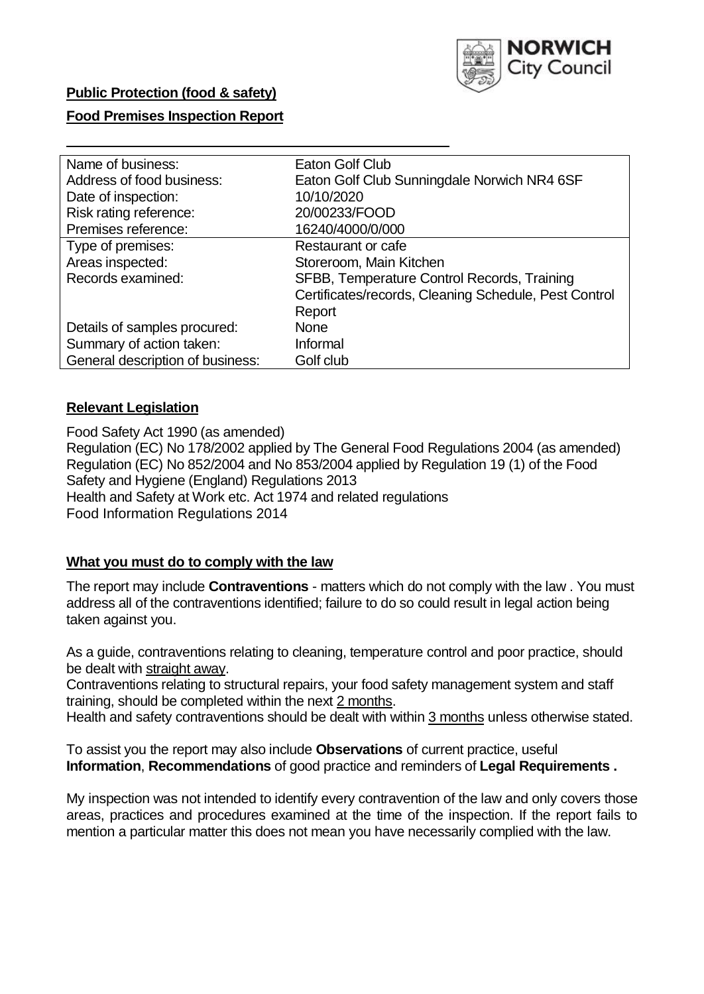

## **Public Protection (food & safety)**

### **Food Premises Inspection Report**

| Name of business:                | Eaton Golf Club                                       |
|----------------------------------|-------------------------------------------------------|
| Address of food business:        | Eaton Golf Club Sunningdale Norwich NR4 6SF           |
| Date of inspection:              | 10/10/2020                                            |
| Risk rating reference:           | 20/00233/FOOD                                         |
| Premises reference:              | 16240/4000/0/000                                      |
| Type of premises:                | Restaurant or cafe                                    |
| Areas inspected:                 | Storeroom, Main Kitchen                               |
| Records examined:                | SFBB, Temperature Control Records, Training           |
|                                  | Certificates/records, Cleaning Schedule, Pest Control |
|                                  | Report                                                |
| Details of samples procured:     | <b>None</b>                                           |
| Summary of action taken:         | Informal                                              |
| General description of business: | Golf club                                             |

### **Relevant Legislation**

 Food Safety Act 1990 (as amended) Regulation (EC) No 178/2002 applied by The General Food Regulations 2004 (as amended) Regulation (EC) No 852/2004 and No 853/2004 applied by Regulation 19 (1) of the Food Safety and Hygiene (England) Regulations 2013 Health and Safety at Work etc. Act 1974 and related regulations Food Information Regulations 2014

### **What you must do to comply with the law**

 The report may include **Contraventions** - matters which do not comply with the law . You must address all of the contraventions identified; failure to do so could result in legal action being taken against you.

 As a guide, contraventions relating to cleaning, temperature control and poor practice, should be dealt with straight away.

 Contraventions relating to structural repairs, your food safety management system and staff training, should be completed within the next 2 months.

Health and safety contraventions should be dealt with within 3 months unless otherwise stated.

 To assist you the report may also include **Observations** of current practice, useful **Information**, **Recommendations** of good practice and reminders of **Legal Requirements .** 

 My inspection was not intended to identify every contravention of the law and only covers those areas, practices and procedures examined at the time of the inspection. If the report fails to mention a particular matter this does not mean you have necessarily complied with the law.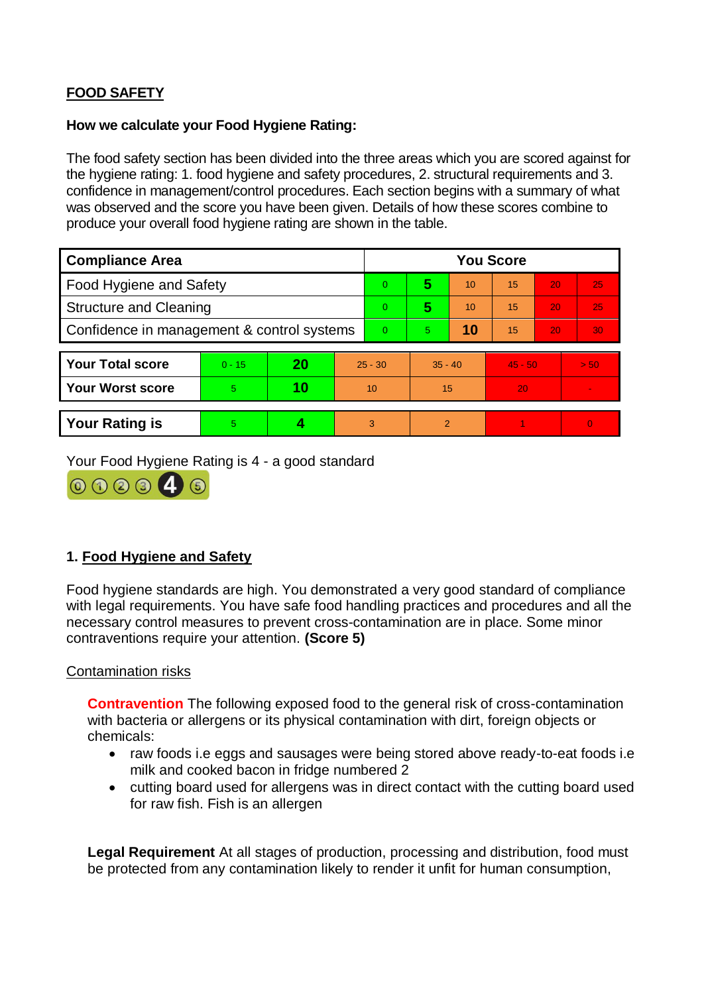# **FOOD SAFETY**

### **How we calculate your Food Hygiene Rating:**

 The food safety section has been divided into the three areas which you are scored against for the hygiene rating: 1. food hygiene and safety procedures, 2. structural requirements and 3. confidence in management/control procedures. Each section begins with a summary of what was observed and the score you have been given. Details of how these scores combine to produce your overall food hygiene rating are shown in the table.

| <b>Compliance Area</b>                     |          |    |           | <b>You Score</b> |                |    |                 |    |          |  |  |
|--------------------------------------------|----------|----|-----------|------------------|----------------|----|-----------------|----|----------|--|--|
| Food Hygiene and Safety                    |          |    |           | $\overline{0}$   | 5              | 10 | $\overline{15}$ | 20 | 25       |  |  |
| <b>Structure and Cleaning</b>              |          |    |           | $\Omega$         | 5              | 10 | 15              | 20 | 25       |  |  |
| Confidence in management & control systems |          |    | $\Omega$  | 5                | 10             | 15 | 20              | 30 |          |  |  |
|                                            |          |    |           |                  |                |    |                 |    |          |  |  |
| <b>Your Total score</b>                    | $0 - 15$ | 20 | $25 - 30$ |                  | $35 - 40$      |    | $45 - 50$       |    | > 50     |  |  |
| <b>Your Worst score</b>                    | 5        | 10 | 10        |                  | 15             |    | 20              |    |          |  |  |
|                                            |          |    |           |                  |                |    |                 |    |          |  |  |
| <b>Your Rating is</b>                      | 5        |    |           | 3                | $\overline{2}$ |    |                 |    | $\Omega$ |  |  |

Your Food Hygiene Rating is 4 - a good standard



# **1. Food Hygiene and Safety**

 with legal requirements. You have safe food handling practices and procedures and all the necessary control measures to prevent cross-contamination are in place. Some minor Food hygiene standards are high. You demonstrated a very good standard of compliance contraventions require your attention. **(Score 5)** 

### Contamination risks

 with bacteria or allergens or its physical contamination with dirt, foreign objects or **Contravention** The following exposed food to the general risk of cross-contamination chemicals:

- raw foods i.e eggs and sausages were being stored above ready-to-eat foods i.e milk and cooked bacon in fridge numbered 2
- cutting board used for allergens was in direct contact with the cutting board used for raw fish. Fish is an allergen

**Legal Requirement** At all stages of production, processing and distribution, food must be protected from any contamination likely to render it unfit for human consumption,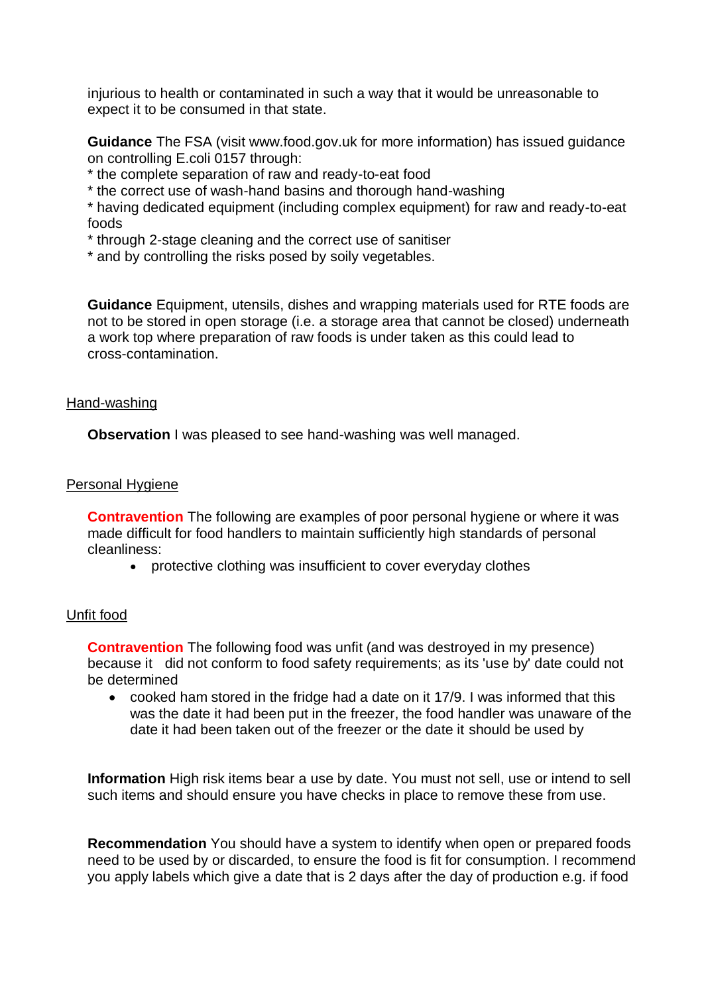injurious to health or contaminated in such a way that it would be unreasonable to expect it to be consumed in that state.

**Guidance** The FSA (visit <www.food.gov.uk> for more information) has issued guidance on controlling E.coli 0157 through:

- \* the complete separation of raw and ready-to-eat food
- \* the correct use of wash-hand basins and thorough hand-washing

\* having dedicated equipment (including complex equipment) for raw and ready-to-eat foods

- \* through 2-stage cleaning and the correct use of sanitiser
- \* and by controlling the risks posed by soily vegetables.

 a work top where preparation of raw foods is under taken as this could lead to **Guidance** Equipment, utensils, dishes and wrapping materials used for RTE foods are not to be stored in open storage (i.e. a storage area that cannot be closed) underneath cross-contamination.

#### Hand-washing

**Observation** I was pleased to see hand-washing was well managed.

#### Personal Hygiene

 **Contravention** The following are examples of poor personal hygiene or where it was made difficult for food handlers to maintain sufficiently high standards of personal cleanliness:

protective clothing was insufficient to cover everyday clothes

### Unfit food

 because it did not conform to food safety requirements; as its 'use by' date could not **Contravention** The following food was unfit (and was destroyed in my presence) be determined

 was the date it had been put in the freezer, the food handler was unaware of the cooked ham stored in the fridge had a date on it 17/9. I was informed that this date it had been taken out of the freezer or the date it should be used by

 such items and should ensure you have checks in place to remove these from use. **Information** High risk items bear a use by date. You must not sell, use or intend to sell

 you apply labels which give a date that is 2 days after the day of production e.g. if food **Recommendation** You should have a system to identify when open or prepared foods need to be used by or discarded, to ensure the food is fit for consumption. I recommend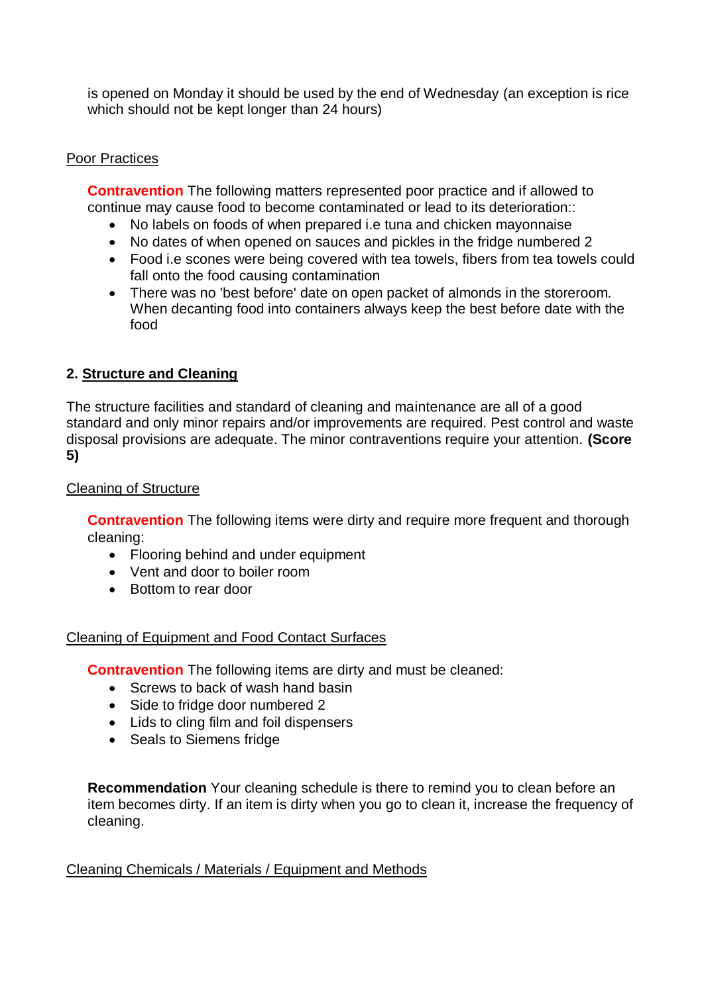is opened on Monday it should be used by the end of Wednesday (an exception is rice which should not be kept longer than 24 hours)

## Poor Practices

 continue may cause food to become contaminated or lead to its deterioration:: **Contravention** The following matters represented poor practice and if allowed to

- No labels on foods of when prepared i.e tuna and chicken mayonnaise
- No dates of when opened on sauces and pickles in the fridge numbered 2
- Food i.e scones were being covered with tea towels, fibers from tea towels could fall onto the food causing contamination
- There was no 'best before' date on open packet of almonds in the storeroom. When decanting food into containers always keep the best before date with the food

# **2. Structure and Cleaning**

The structure facilities and standard of cleaning and maintenance are all of a good standard and only minor repairs and/or improvements are required. Pest control and waste disposal provisions are adequate. The minor contraventions require your attention. **(Score 5)** 

### Cleaning of Structure

**Contravention** The following items were dirty and require more frequent and thorough cleaning:

- Flooring behind and under equipment
- Vent and door to boiler room
- Bottom to rear door

### Cleaning of Equipment and Food Contact Surfaces

**Contravention** The following items are dirty and must be cleaned:

- Screws to back of wash hand basin
- Side to fridge door numbered 2
- Lids to cling film and foil dispensers
- Seals to Siemens fridge

 **Recommendation** Your cleaning schedule is there to remind you to clean before an item becomes dirty. If an item is dirty when you go to clean it, increase the frequency of cleaning.

Cleaning Chemicals / Materials / Equipment and Methods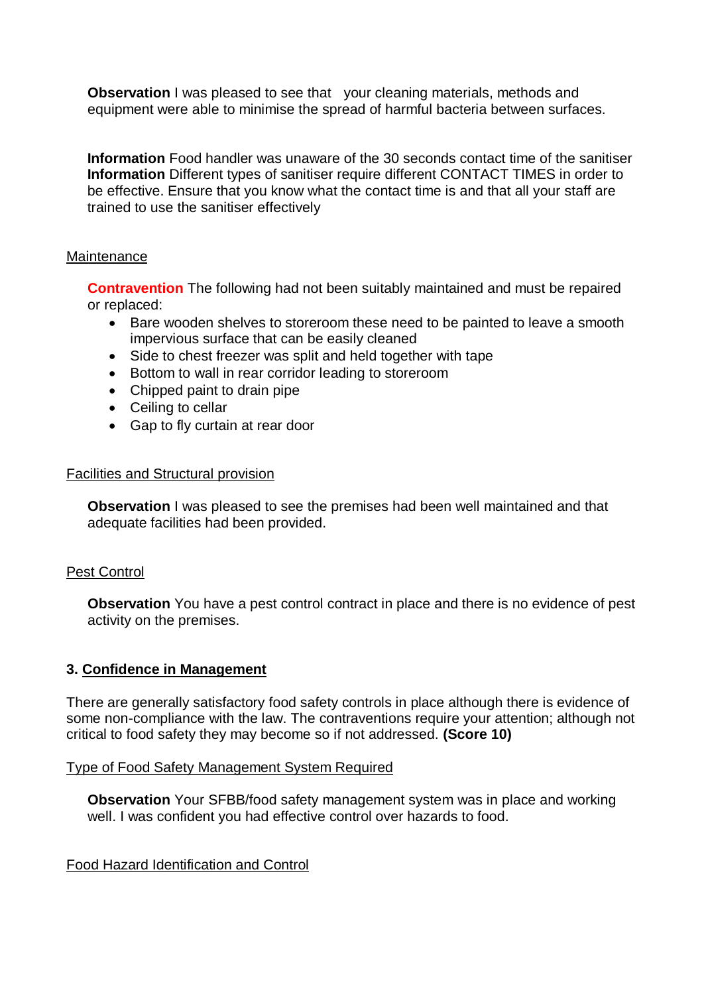**Observation** I was pleased to see that your cleaning materials, methods and equipment were able to minimise the spread of harmful bacteria between surfaces.

**Information** Food handler was unaware of the 30 seconds contact time of the sanitiser **Information** Different types of sanitiser require different CONTACT TIMES in order to be effective. Ensure that you know what the contact time is and that all your staff are trained to use the sanitiser effectively

### **Maintenance**

**Contravention** The following had not been suitably maintained and must be repaired or replaced:

- Bare wooden shelves to storeroom these need to be painted to leave a smooth impervious surface that can be easily cleaned
- Side to chest freezer was split and held together with tape
- Bottom to wall in rear corridor leading to storeroom
- Chipped paint to drain pipe
- Ceiling to cellar
- Gap to fly curtain at rear door

### Facilities and Structural provision

**Observation** I was pleased to see the premises had been well maintained and that adequate facilities had been provided.

### Pest Control

**Observation** You have a pest control contract in place and there is no evidence of pest activity on the premises.

### **3. Confidence in Management**

 There are generally satisfactory food safety controls in place although there is evidence of some non-compliance with the law. The contraventions require your attention; although not critical to food safety they may become so if not addressed. **(Score 10)** 

#### Type of Food Safety Management System Required

**Observation** Your SFBB/food safety management system was in place and working well. I was confident you had effective control over hazards to food.

Food Hazard Identification and Control